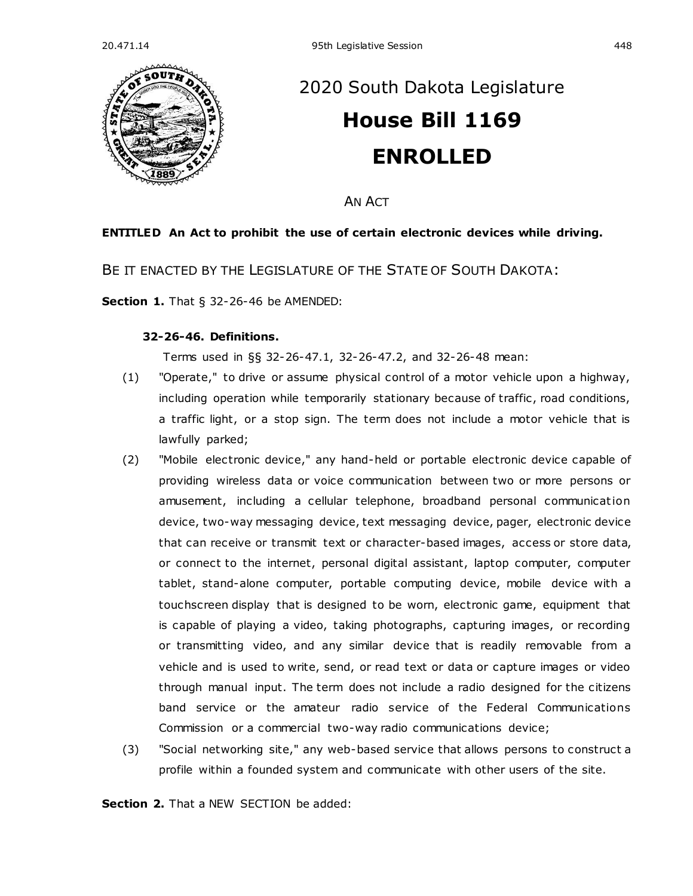

# [2020 South Dakota Legislature](https://sdlegislature.gov/Legislative_Session/Bills/Default.aspx?Session=2020) **[House Bill 1169](https://sdlegislature.gov/Legislative_Session/Bills/Bill.aspx?Bill=1169&Session=2020) ENROLLED**

AN ACT

### **ENTITLED An Act to prohibit the use of certain electronic devices while driving.**

BE IT ENACTED BY THE LEGISLATURE OF THE STATE OF SOUTH DAKOTA:

**Section 1.** [That § 32-26-46 be AMENDED:](https://sdlegislature.gov/Statutes/Codified_Laws/DisplayStatute.aspx?Type=Statute&Statute=32-26-46)

#### **[32-26-46. D](https://sdlegislature.gov/Statutes/Codified_Laws/DisplayStatute.aspx?Type=Statute&Statute=32-26-46)efinitions.**

Terms used in §§ 32-26-47.1, 32-26-47.2, and 32-26-48 mean:

- (1) "Operate," to drive or assume physical control of a motor vehicle upon a highway, including operation while temporarily stationary because of traffic, road conditions, a traffic light, or a stop sign. The term does not include a motor vehicle that is lawfully parked;
- (2) "Mobile electronic device," any hand-held or portable electronic device capable of providing wireless data or voice communication between two or more persons or amusement, including a cellular telephone, broadband personal communication device, two-way messaging device, text messaging device, pager, electronic device that can receive or transmit text or character-based images, access or store data, or connect to the internet, personal digital assistant, laptop computer, computer tablet, stand-alone computer, portable computing device, mobile device with a touchscreen display that is designed to be worn, electronic game, equipment that is capable of playing a video, taking photographs, capturing images, or recording or transmitting video, and any similar device that is readily removable from a vehicle and is used to write, send, or read text or data or capture images or video through manual input. The term does not include a radio designed for the citizens band service or the amateur radio service of the Federal Communications Commission or a commercial two-way radio communications device;
- (3) "Social networking site," any web-based service that allows persons to construct a profile within a founded system and communicate with other users of the site.

**Section 2.** That a NEW SECTION be added: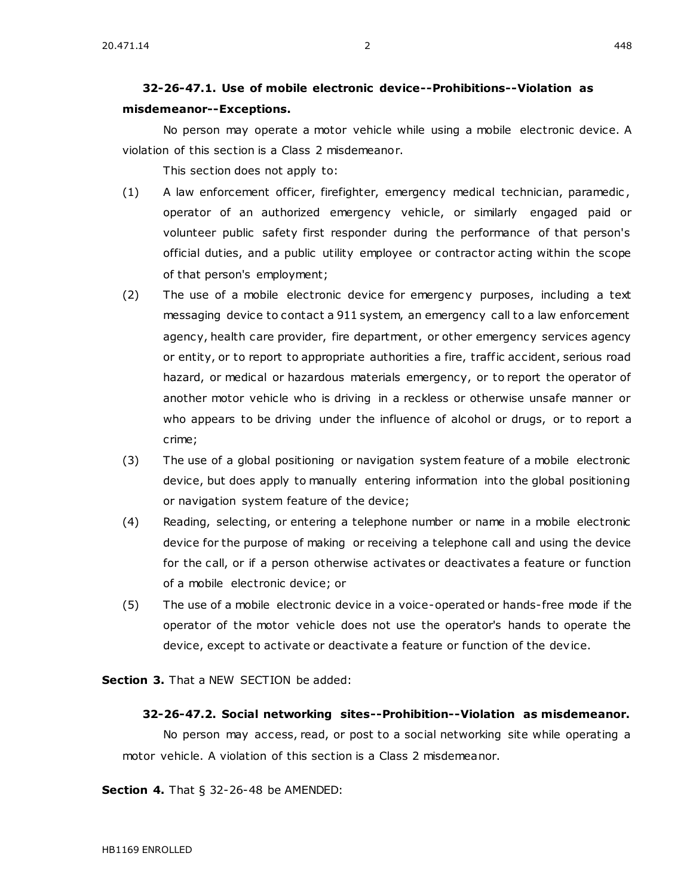## **32-26-47.1. Use of mobile electronic device--Prohibitions--Violation as misdemeanor--Exceptions.**

No person may operate a motor vehicle while using a mobile electronic device. A violation of this section is a Class 2 misdemeanor.

This section does not apply to:

- (1) A law enforcement officer, firefighter, emergency medical technician, paramedic , operator of an authorized emergency vehicle, or similarly engaged paid or volunteer public safety first responder during the performance of that person's official duties, and a public utility employee or contractor acting within the scope of that person's employment;
- (2) The use of a mobile electronic device for emergenc y purposes, including a text messaging device to contact a 911 system, an emergency call to a law enforcement agency, health care provider, fire department, or other emergency services agency or entity, or to report to appropriate authorities a fire, traffic accident, serious road hazard, or medical or hazardous materials emergency, or to report the operator of another motor vehicle who is driving in a reckless or otherwise unsafe manner or who appears to be driving under the influence of alcohol or drugs, or to report a crime;
- (3) The use of a global positioning or navigation system feature of a mobile electronic device, but does apply to manually entering information into the global positioning or navigation system feature of the device;
- (4) Reading, selecting, or entering a telephone number or name in a mobile electronic device for the purpose of making or receiving a telephone call and using the device for the call, or if a person otherwise activates or deactivates a feature or function of a mobile electronic device; or
- (5) The use of a mobile electronic device in a voice-operated or hands-free mode if the operator of the motor vehicle does not use the operator's hands to operate the device, except to activate or deactivate a feature or function of the device.

**Section 3.** That a NEW SECTION be added:

#### **32-26-47.2. Social networking sites--Prohibition--Violation as misdemeanor.**

No person may access, read, or post to a social networking site while operating a motor vehicle. A violation of this section is a Class 2 misdemeanor.

**Section 4.** [That § 32-26-48 be AMENDED:](https://sdlegislature.gov/Statutes/Codified_Laws/DisplayStatute.aspx?Type=Statute&Statute=32-26-48)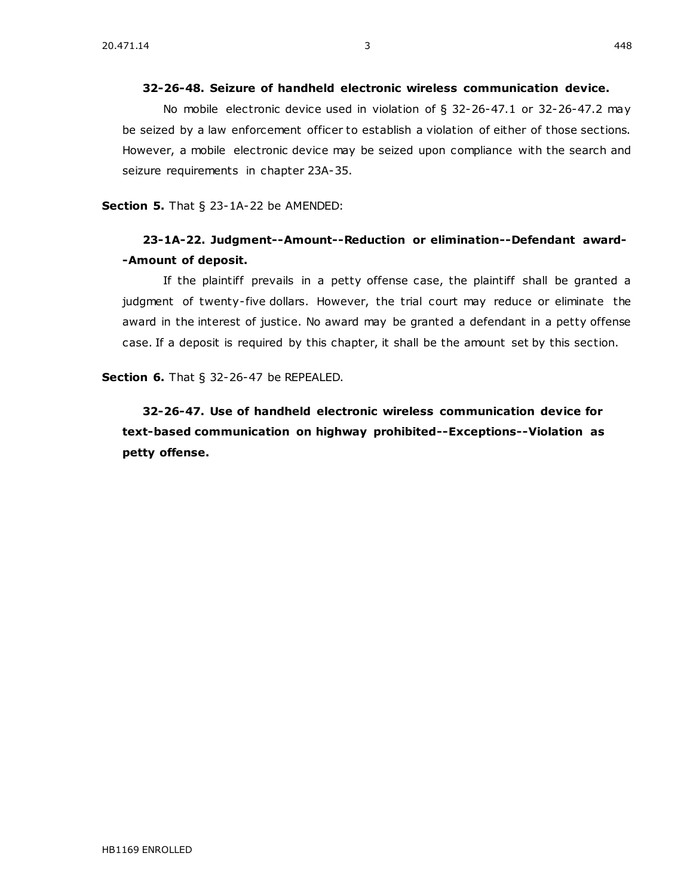No mobile electronic device used in violation of § 32-26-47.1 or 32-26-47.2 may be seized by a law enforcement officer to establish a violation of either of those sections. However, a mobile electronic device may be seized upon compliance with the search and seizure requirements in chapter [23A-35.](https://sdlegislature.gov/Statutes/Codified_Laws/DisplayStatute.aspx?Type=Statute&Statute=23A-35)

**[32-26-48. S](https://sdlegislature.gov/Statutes/Codified_Laws/DisplayStatute.aspx?Type=Statute&Statute=32-26-48)eizure of handheld electronic wireless communication device.** 

**Section 5.** [That § 23-1A-22 be AMENDED:](https://sdlegislature.gov/Statutes/Codified_Laws/DisplayStatute.aspx?Type=Statute&Statute=23-1A-22)

# **[23-1A-22. J](https://sdlegislature.gov/Statutes/Codified_Laws/DisplayStatute.aspx?Type=Statute&Statute=23-1A-22)udgment--Amount--Reduction or elimination--Defendant award- -Amount of deposit.**

If the plaintiff prevails in a petty offense case, the plaintiff shall be granted a judgment of twenty-five dollars. However, the trial court may reduce or eliminate the award in the interest of justice. No award may be granted a defendant in a petty offense case. If a deposit is required by this chapter, it shall be the amount set by this section.

**Section 6.** That § [32-26-47 be REPEALED.](https://sdlegislature.gov/Statutes/Codified_Laws/DisplayStatute.aspx?Type=Statute&Statute=32-26-47)

**[32-26-47. U](https://sdlegislature.gov/Statutes/Codified_Laws/DisplayStatute.aspx?Type=Statute&Statute=32-26-47)se of handheld electronic wireless communication device for text-based communication on highway prohibited--Exceptions--Violation as petty offense.**